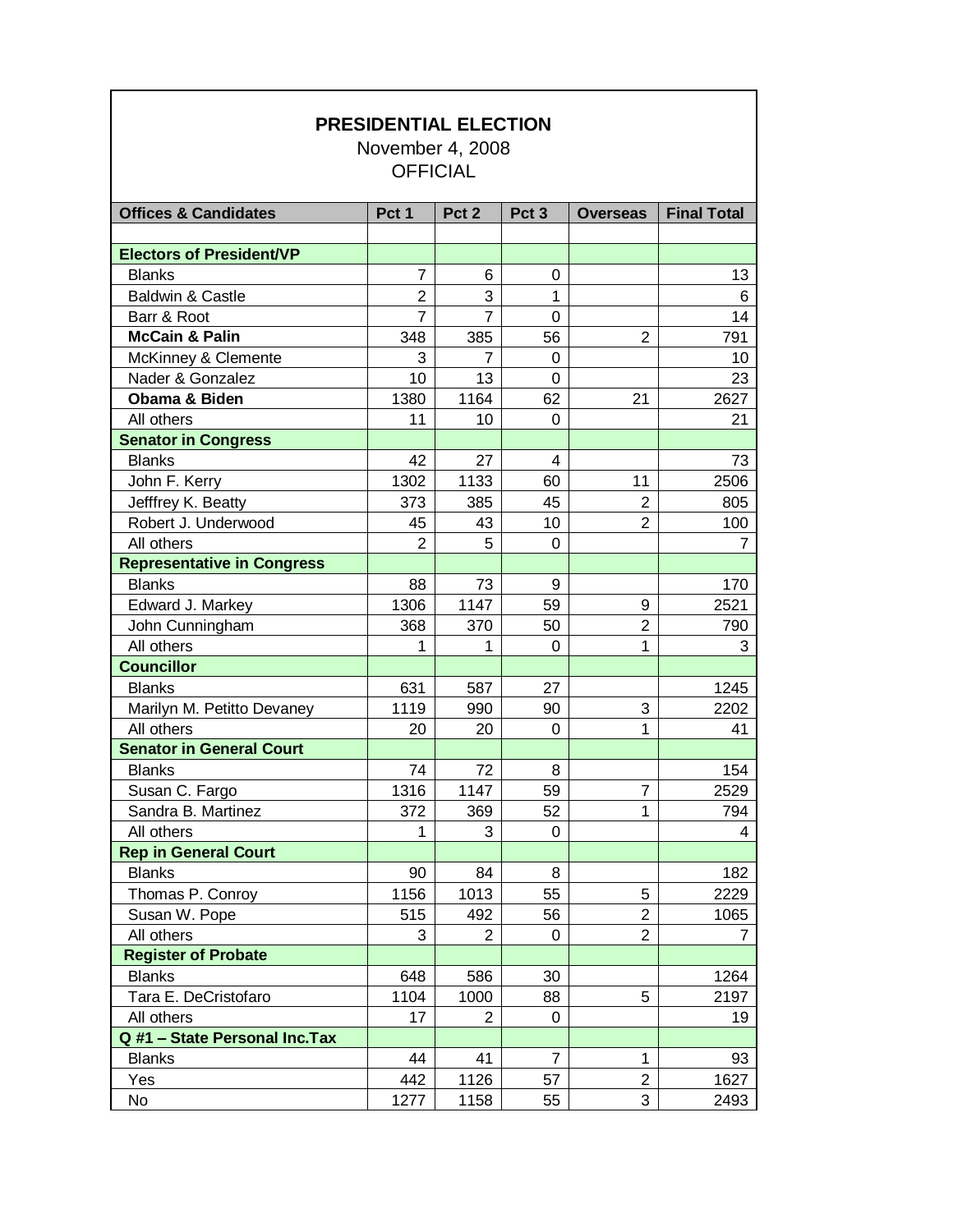| <b>PRESIDENTIAL ELECTION</b><br>November 4, 2008<br><b>OFFICIAL</b> |                |                  |                  |                 |                    |  |  |  |
|---------------------------------------------------------------------|----------------|------------------|------------------|-----------------|--------------------|--|--|--|
| <b>Offices &amp; Candidates</b>                                     | Pct 1          | Pct <sub>2</sub> | Pct <sub>3</sub> | <b>Overseas</b> | <b>Final Total</b> |  |  |  |
|                                                                     |                |                  |                  |                 |                    |  |  |  |
| <b>Electors of President/VP</b>                                     |                |                  |                  |                 |                    |  |  |  |
| <b>Blanks</b>                                                       | 7              | 6                | 0                |                 | 13                 |  |  |  |
| <b>Baldwin &amp; Castle</b>                                         | $\overline{2}$ | 3                | 1                |                 | 6                  |  |  |  |
| Barr & Root                                                         | $\overline{7}$ | $\overline{7}$   | $\Omega$         |                 | 14                 |  |  |  |
| <b>McCain &amp; Palin</b>                                           | 348            | 385              | 56               | 2               | 791                |  |  |  |
| McKinney & Clemente                                                 | 3              | 7                | $\Omega$         |                 | 10                 |  |  |  |
| Nader & Gonzalez                                                    | 10             | 13               | 0                |                 | 23                 |  |  |  |
| Obama & Biden                                                       | 1380           | 1164             | 62               | 21              | 2627               |  |  |  |
| All others                                                          | 11             | 10               | 0                |                 | 21                 |  |  |  |
| <b>Senator in Congress</b>                                          |                |                  |                  |                 |                    |  |  |  |
| <b>Blanks</b>                                                       | 42             | 27               | 4                |                 | 73                 |  |  |  |
| John F. Kerry                                                       | 1302           | 1133             | 60               | 11              | 2506               |  |  |  |
| Jefffrey K. Beatty                                                  | 373            | 385              | 45               | $\overline{2}$  | 805                |  |  |  |
| Robert J. Underwood                                                 | 45             | 43               | 10               | $\overline{2}$  | 100                |  |  |  |
| All others                                                          | $\overline{2}$ | 5                | $\overline{0}$   |                 | 7                  |  |  |  |
| <b>Representative in Congress</b>                                   |                |                  |                  |                 |                    |  |  |  |
| <b>Blanks</b>                                                       | 88             | 73               | 9                |                 | 170                |  |  |  |
| Edward J. Markey                                                    | 1306           | 1147             | 59               | 9               | 2521               |  |  |  |
| John Cunningham                                                     | 368            | 370              | 50               | $\overline{2}$  | 790                |  |  |  |
| All others                                                          | 1              | 1                | 0                | 1               | 3                  |  |  |  |
| <b>Councillor</b>                                                   |                |                  |                  |                 |                    |  |  |  |
| <b>Blanks</b>                                                       | 631            | 587              | 27               |                 | 1245               |  |  |  |
| Marilyn M. Petitto Devaney                                          | 1119           | 990              | 90               | 3               | 2202               |  |  |  |
| All others                                                          | 20             | 20               | 0                | 1               | 41                 |  |  |  |
| <b>Senator in General Court</b>                                     |                |                  |                  |                 |                    |  |  |  |
| <b>Blanks</b>                                                       | 74             | 72               | 8                |                 | 154                |  |  |  |
| Susan C. Fargo                                                      | 1316           | 1147             | 59               | 7               | 2529               |  |  |  |
| Sandra B. Martinez                                                  | 372            | 369              | 52               | 1               | 794                |  |  |  |
| All others                                                          | 1              | 3                | 0                |                 | 4                  |  |  |  |
| <b>Rep in General Court</b>                                         |                |                  |                  |                 |                    |  |  |  |
| <b>Blanks</b>                                                       | 90             | 84               | 8                |                 | 182                |  |  |  |
| Thomas P. Conroy                                                    | 1156           | 1013             | 55               | 5               | 2229               |  |  |  |
| Susan W. Pope                                                       | 515            | 492              | 56               | $\overline{2}$  | 1065               |  |  |  |
| All others                                                          | 3              | $\overline{2}$   | 0                | $\overline{2}$  | 7                  |  |  |  |
| <b>Register of Probate</b>                                          |                |                  |                  |                 |                    |  |  |  |
| <b>Blanks</b>                                                       | 648            | 586              | 30               |                 | 1264               |  |  |  |
| Tara E. DeCristofaro                                                | 1104           | 1000             | 88               | 5               | 2197               |  |  |  |
| All others                                                          | 17             | 2                | 0                |                 | 19                 |  |  |  |
| Q #1 - State Personal Inc. Tax                                      |                |                  |                  |                 |                    |  |  |  |
| <b>Blanks</b>                                                       | 44             | 41               | 7                | 1               | 93                 |  |  |  |
| Yes                                                                 | 442            | 1126             | 57               | $\overline{2}$  | 1627               |  |  |  |
| <b>No</b>                                                           | 1277           | 1158             | 55               | 3               | 2493               |  |  |  |